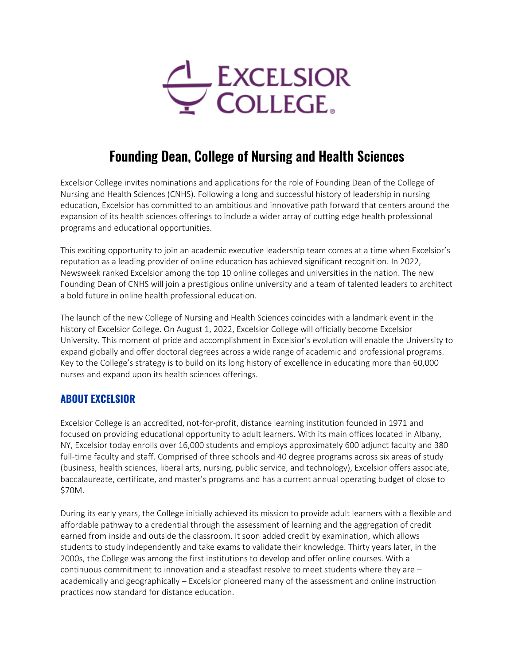

# **Founding Dean, College of Nursing and Health Sciences**

Excelsior College invites nominations and applications for the role of Founding Dean of the College of Nursing and Health Sciences (CNHS). Following a long and successful history of leadership in nursing education, Excelsior has committed to an ambitious and innovative path forward that centers around the expansion of its health sciences offerings to include a wider array of cutting edge health professional programs and educational opportunities.

This exciting opportunity to join an academic executive leadership team comes at a time when Excelsior's reputation as a leading provider of online education has achieved significant recognition. In 2022, Newsweek ranked Excelsior among the top 10 online colleges and universities in the nation. The new Founding Dean of CNHS will join a prestigious online university and a team of talented leaders to architect a bold future in online health professional education.

The launch of the new College of Nursing and Health Sciences coincides with a landmark event in the history of Excelsior College. On August 1, 2022, Excelsior College will officially become Excelsior University. This moment of pride and accomplishment in Excelsior's evolution will enable the University to expand globally and offer doctoral degrees across a wide range of academic and professional programs. Key to the College's strategy is to build on its long history of excellence in educating more than 60,000 nurses and expand upon its health sciences offerings.

### **ABOUT EXCELSIOR**

Excelsior College is an accredited, not-for-profit, distance learning institution founded in 1971 and focused on providing educational opportunity to adult learners. With its main offices located in Albany, NY, Excelsior today enrolls over 16,000 students and employs approximately 600 adjunct faculty and 380 full-time faculty and staff. Comprised of three schools and 40 degree programs across six areas of study (business, health sciences, liberal arts, nursing, public service, and technology), Excelsior offers associate, baccalaureate, certificate, and master's programs and has a current annual operating budget of close to \$70M.

During its early years, the College initially achieved its mission to provide adult learners with a flexible and affordable pathway to a credential through the assessment of learning and the aggregation of credit earned from inside and outside the classroom. It soon added credit by examination, which allows students to study independently and take exams to validate their knowledge. Thirty years later, in the 2000s, the College was among the first institutions to develop and offer online courses. With a continuous commitment to innovation and a steadfast resolve to meet students where they are – academically and geographically – Excelsior pioneered many of the assessment and online instruction practices now standard for distance education.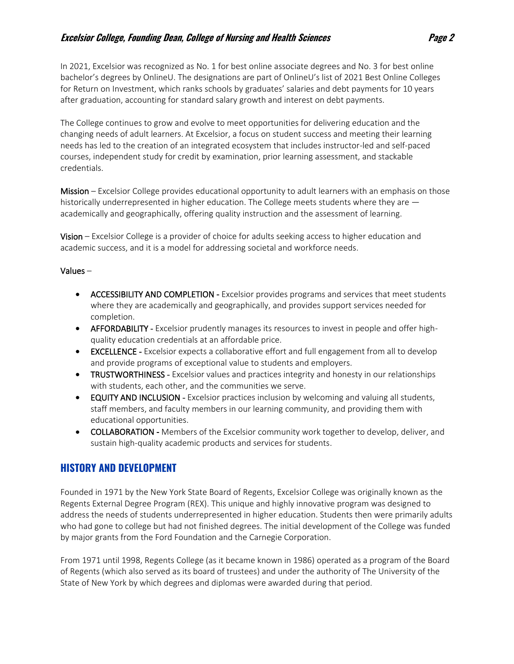In 2021, Excelsior was recognized as No. 1 for best online associate degrees and No. 3 for best online bachelor's degrees by OnlineU. The designations are part of OnlineU's list of 2021 Best Online Colleges for Return on Investment, which ranks schools by graduates' salaries and debt payments for 10 years after graduation, accounting for standard salary growth and interest on debt payments.

The College continues to grow and evolve to meet opportunities for delivering education and the changing needs of adult learners. At Excelsior, a focus on student success and meeting their learning needs has led to the creation of an integrated ecosystem that includes instructor-led and self-paced courses, independent study for credit by examination, prior learning assessment, and stackable credentials.

Mission – Excelsior College provides educational opportunity to adult learners with an emphasis on those historically underrepresented in higher education. The College meets students where they are academically and geographically, offering quality instruction and the assessment of learning.

Vision – Excelsior College is a provider of choice for adults seeking access to higher education and academic success, and it is a model for addressing societal and workforce needs.

#### Values –

- ACCESSIBILITY AND COMPLETION Excelsior provides programs and services that meet students where they are academically and geographically, and provides support services needed for completion.
- AFFORDABILITY Excelsior prudently manages its resources to invest in people and offer highquality education credentials at an affordable price.
- **EXCELLENCE** Excelsior expects a collaborative effort and full engagement from all to develop and provide programs of exceptional value to students and employers.
- TRUSTWORTHINESS Excelsior values and practices integrity and honesty in our relationships with students, each other, and the communities we serve.
- EQUITY AND INCLUSION Excelsior practices inclusion by welcoming and valuing all students, staff members, and faculty members in our learning community, and providing them with educational opportunities.
- **COLLABORATION** Members of the Excelsior community work together to develop, deliver, and sustain high-quality academic products and services for students.

### **HISTORY AND DEVELOPMENT**

Founded in 1971 by the New York State Board of Regents, Excelsior College was originally known as the Regents External Degree Program (REX). This unique and highly innovative program was designed to address the needs of students underrepresented in higher education. Students then were primarily adults who had gone to college but had not finished degrees. The initial development of the College was funded by major grants from the Ford Foundation and the Carnegie Corporation.

From 1971 until 1998, Regents College (as it became known in 1986) operated as a program of the Board of Regents (which also served as its board of trustees) and under the authority of The University of the State of New York by which degrees and diplomas were awarded during that period.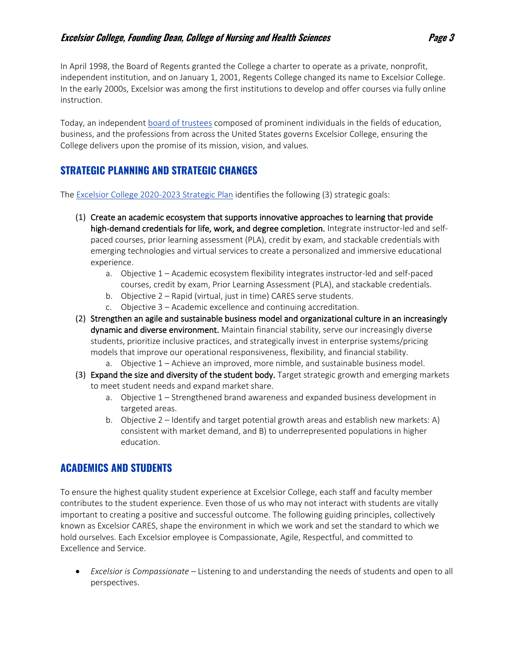In April 1998, the Board of Regents granted the College a charter to operate as a private, nonprofit, independent institution, and on January 1, 2001, Regents College changed its name to Excelsior College. In the early 2000s, Excelsior was among the first institutions to develop and offer courses via fully online instruction.

Today, an independent [board of trustees](https://www.excelsior.edu/about/leadership/trustees/) composed of prominent individuals in the fields of education, business, and the professions from across the United States governs Excelsior College, ensuring the College delivers upon the promise of its mission, vision, and values.

# **STRATEGIC PLANNING AND STRATEGIC CHANGES**

The [Excelsior College 2020-2023 Strategic Plan](https://www.excelsior.edu/wp-content/uploads/2019/01/Excelsior_College_Strategic_Plan_2020_2023.pdf) identifies the following (3) strategic goals:

- (1) Create an academic ecosystem that supports innovative approaches to learning that provide high-demand credentials for life, work, and degree completion. Integrate instructor-led and selfpaced courses, prior learning assessment (PLA), credit by exam, and stackable credentials with emerging technologies and virtual services to create a personalized and immersive educational experience.
	- a. Objective 1 Academic ecosystem flexibility integrates instructor-led and self-paced courses, credit by exam, Prior Learning Assessment (PLA), and stackable credentials.
	- b. Objective 2 Rapid (virtual, just in time) CARES serve students.
	- c. Objective 3 Academic excellence and continuing accreditation.
- (2) Strengthen an agile and sustainable business model and organizational culture in an increasingly dynamic and diverse environment. Maintain financial stability, serve our increasingly diverse students, prioritize inclusive practices, and strategically invest in enterprise systems/pricing models that improve our operational responsiveness, flexibility, and financial stability.
	- a. Objective 1 Achieve an improved, more nimble, and sustainable business model.
- (3) Expand the size and diversity of the student body. Target strategic growth and emerging markets to meet student needs and expand market share.
	- a. Objective 1 Strengthened brand awareness and expanded business development in targeted areas.
	- b. Objective 2 Identify and target potential growth areas and establish new markets: A) consistent with market demand, and B) to underrepresented populations in higher education.

## **ACADEMICS AND STUDENTS**

To ensure the highest quality student experience at Excelsior College, each staff and faculty member contributes to the student experience. Even those of us who may not interact with students are vitally important to creating a positive and successful outcome. The following guiding principles, collectively known as Excelsior CARES, shape the environment in which we work and set the standard to which we hold ourselves. Each Excelsior employee is Compassionate, Agile, Respectful, and committed to Excellence and Service.

• *Excelsior is Compassionate* – Listening to and understanding the needs of students and open to all perspectives.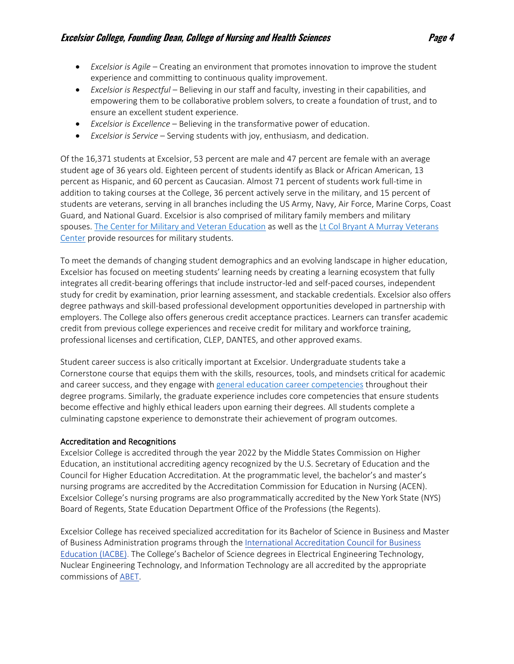- *Excelsior is Agile* Creating an environment that promotes innovation to improve the student experience and committing to continuous quality improvement.
- *Excelsior is Respectful* Believing in our staff and faculty, investing in their capabilities, and empowering them to be collaborative problem solvers, to create a foundation of trust, and to ensure an excellent student experience.
- *Excelsior is Excellence* Believing in the transformative power of education.
- *Excelsior is Service* Serving students with joy, enthusiasm, and dedication.

Of the 16,371 students at Excelsior, 53 percent are male and 47 percent are female with an average student age of 36 years old. Eighteen percent of students identify as Black or African American, 13 percent as Hispanic, and 60 percent as Caucasian. Almost 71 percent of students work full-time in addition to taking courses at the College, 36 percent actively serve in the military, and 15 percent of students are veterans, serving in all branches including the US Army, Navy, Air Force, Marine Corps, Coast Guard, and National Guard. Excelsior is also comprised of military family members and military spouses. [The Center for Military and Veteran Education](http://cme.excelsior.edu/) as well as the [Lt Col Bryant A Murray Veterans](http://veterans.excelsior.edu/)  [Center](http://veterans.excelsior.edu/) provide resources for military students.

To meet the demands of changing student demographics and an evolving landscape in higher education, Excelsior has focused on meeting students' learning needs by creating a learning ecosystem that fully integrates all credit-bearing offerings that include instructor-led and self-paced courses, independent study for credit by examination, prior learning assessment, and stackable credentials. Excelsior also offers degree pathways and skill-based professional development opportunities developed in partnership with employers. The College also offers generous credit acceptance practices. Learners can transfer academic credit from previous college experiences and receive credit for military and workforce training, professional licenses and certification, CLEP, DANTES, and other approved exams.

Student career success is also critically important at Excelsior. Undergraduate students take a Cornerstone course that equips them with the skills, resources, tools, and mindsets critical for academic and career success, and they engage with [general education career competencies](https://www.excelsior.edu/about/general-education-career-competencies/) throughout their degree programs. Similarly, the graduate experience includes core competencies that ensure students become effective and highly ethical leaders upon earning their degrees. All students complete a culminating capstone experience to demonstrate their achievement of program outcomes.

#### Accreditation and Recognitions

Excelsior College is accredited through the year 2022 by the Middle States Commission on Higher Education, an institutional accrediting agency recognized by the U.S. Secretary of Education and the Council for Higher Education Accreditation. At the programmatic level, the bachelor's and master's nursing programs are accredited by the Accreditation Commission for Education in Nursing (ACEN). Excelsior College's nursing programs are also programmatically accredited by the New York State (NYS) Board of Regents, State Education Department Office of the Professions (the Regents).

Excelsior College has received specialized accreditation for its Bachelor of Science in Business and Master of Business Administration programs through the [International Accreditation Council for Business](http://www.iacbe.org/)  [Education \(IACBE\).](http://www.iacbe.org/) The College's Bachelor of Science degrees in Electrical Engineering Technology, Nuclear Engineering Technology, and Information Technology are all accredited by the appropriate commissions of [ABET.](https://www.abet.org/)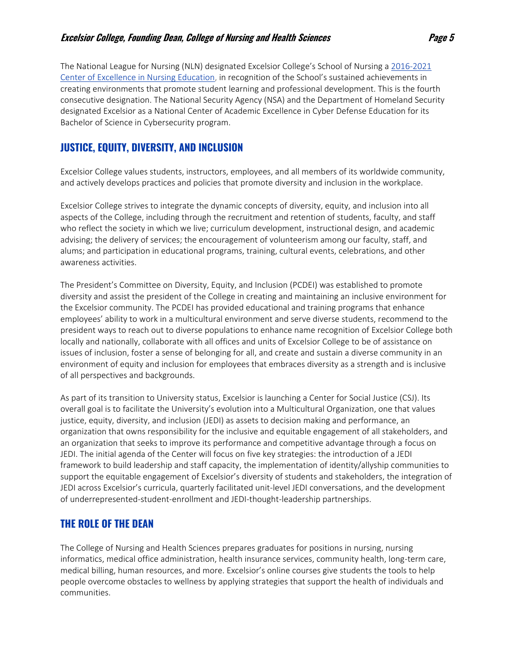The National League for Nursing (NLN) designated Excelsior College's School of Nursing a [2016-2021](http://www.nln.org/recognition-programs/centers-of-excellence-in-nursing-education)  [Center of Excellence in Nursing Education,](http://www.nln.org/recognition-programs/centers-of-excellence-in-nursing-education) in recognition of the School's sustained achievements in creating environments that promote student learning and professional development. This is the fourth consecutive designation. The National Security Agency (NSA) and the Department of Homeland Security designated Excelsior as a National Center of Academic Excellence in Cyber Defense Education for its Bachelor of Science in Cybersecurity program.

## **JUSTICE, EQUITY, DIVERSITY, AND INCLUSION**

Excelsior College values students, instructors, employees, and all members of its worldwide community, and actively develops practices and policies that promote diversity and inclusion in the workplace.

Excelsior College strives to integrate the dynamic concepts of diversity, equity, and inclusion into all aspects of the College, including through the recruitment and retention of students, faculty, and staff who reflect the society in which we live; curriculum development, instructional design, and academic advising; the delivery of services; the encouragement of volunteerism among our faculty, staff, and alums; and participation in educational programs, training, cultural events, celebrations, and other awareness activities.

The President's Committee on Diversity, Equity, and Inclusion (PCDEI) was established to promote diversity and assist the president of the College in creating and maintaining an inclusive environment for the Excelsior community. The PCDEI has provided educational and training programs that enhance employees' ability to work in a multicultural environment and serve diverse students, recommend to the president ways to reach out to diverse populations to enhance name recognition of Excelsior College both locally and nationally, collaborate with all offices and units of Excelsior College to be of assistance on issues of inclusion, foster a sense of belonging for all, and create and sustain a diverse community in an environment of equity and inclusion for employees that embraces diversity as a strength and is inclusive of all perspectives and backgrounds.

As part of its transition to University status, Excelsior is launching a Center for Social Justice (CSJ). Its overall goal is to facilitate the University's evolution into a Multicultural Organization, one that values justice, equity, diversity, and inclusion (JEDI) as assets to decision making and performance, an organization that owns responsibility for the inclusive and equitable engagement of all stakeholders, and an organization that seeks to improve its performance and competitive advantage through a focus on JEDI. The initial agenda of the Center will focus on five key strategies: the introduction of a JEDI framework to build leadership and staff capacity, the implementation of identity/allyship communities to support the equitable engagement of Excelsior's diversity of students and stakeholders, the integration of JEDI across Excelsior's curricula, quarterly facilitated unit-level JEDI conversations, and the development of underrepresented-student-enrollment and JEDI-thought-leadership partnerships.

## **THE ROLE OF THE DEAN**

The College of Nursing and Health Sciences prepares graduates for positions in nursing, nursing informatics, medical office administration, health insurance services, community health, long-term care, medical billing, human resources, and more. Excelsior's online courses give students the tools to help people overcome obstacles to wellness by applying strategies that support the health of individuals and communities.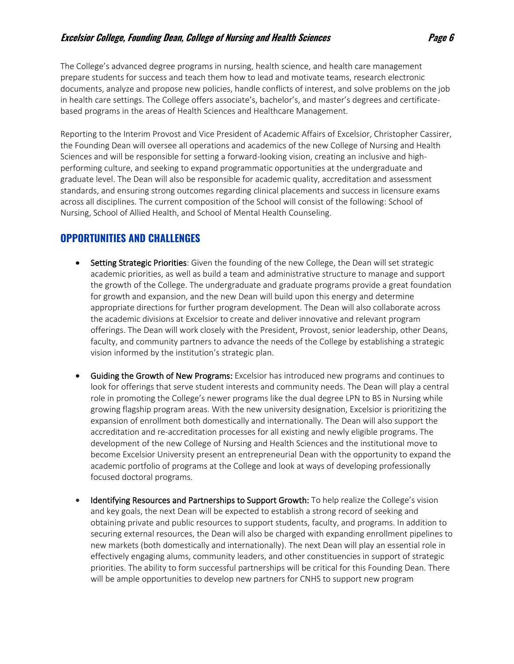The College's advanced degree programs in nursing, health science, and health care management prepare students for success and teach them how to lead and motivate teams, research electronic documents, analyze and propose new policies, handle conflicts of interest, and solve problems on the job in health care settings. The College offers associate's, bachelor's, and master's degrees and certificatebased programs in the areas of Health Sciences and Healthcare Management.

Reporting to the Interim Provost and Vice President of Academic Affairs of Excelsior, Christopher Cassirer, the Founding Dean will oversee all operations and academics of the new College of Nursing and Health Sciences and will be responsible for setting a forward-looking vision, creating an inclusive and highperforming culture, and seeking to expand programmatic opportunities at the undergraduate and graduate level. The Dean will also be responsible for academic quality, accreditation and assessment standards, and ensuring strong outcomes regarding clinical placements and success in licensure exams across all disciplines. The current composition of the School will consist of the following: School of Nursing, School of Allied Health, and School of Mental Health Counseling.

## **OPPORTUNITIES AND CHALLENGES**

- Setting Strategic Priorities: Given the founding of the new College, the Dean will set strategic academic priorities, as well as build a team and administrative structure to manage and support the growth of the College. The undergraduate and graduate programs provide a great foundation for growth and expansion, and the new Dean will build upon this energy and determine appropriate directions for further program development. The Dean will also collaborate across the academic divisions at Excelsior to create and deliver innovative and relevant program offerings. The Dean will work closely with the President, Provost, senior leadership, other Deans, faculty, and community partners to advance the needs of the College by establishing a strategic vision informed by the institution's strategic plan.
- **Guiding the Growth of New Programs:** Excelsior has introduced new programs and continues to look for offerings that serve student interests and community needs. The Dean will play a central role in promoting the College's newer programs like the dual degree LPN to BS in Nursing while growing flagship program areas. With the new university designation, Excelsior is prioritizing the expansion of enrollment both domestically and internationally. The Dean will also support the accreditation and re-accreditation processes for all existing and newly eligible programs. The development of the new College of Nursing and Health Sciences and the institutional move to become Excelsior University present an entrepreneurial Dean with the opportunity to expand the academic portfolio of programs at the College and look at ways of developing professionally focused doctoral programs.
- Identifying Resources and Partnerships to Support Growth: To help realize the College's vision and key goals, the next Dean will be expected to establish a strong record of seeking and obtaining private and public resources to support students, faculty, and programs. In addition to securing external resources, the Dean will also be charged with expanding enrollment pipelines to new markets (both domestically and internationally). The next Dean will play an essential role in effectively engaging alums, community leaders, and other constituencies in support of strategic priorities. The ability to form successful partnerships will be critical for this Founding Dean. There will be ample opportunities to develop new partners for CNHS to support new program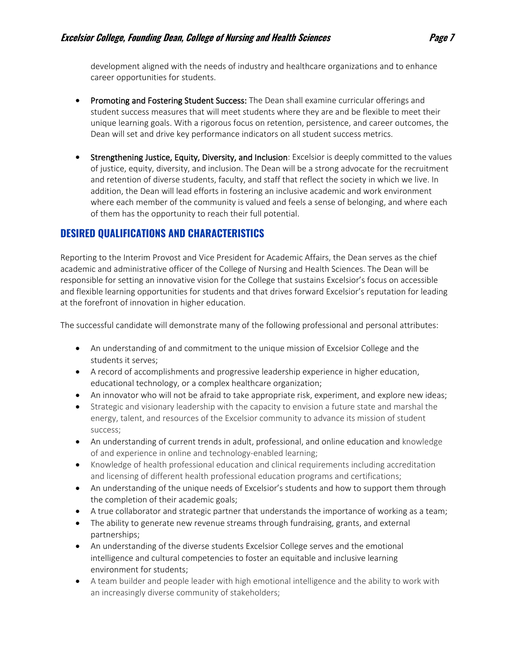development aligned with the needs of industry and healthcare organizations and to enhance career opportunities for students.

- Promoting and Fostering Student Success: The Dean shall examine curricular offerings and student success measures that will meet students where they are and be flexible to meet their unique learning goals. With a rigorous focus on retention, persistence, and career outcomes, the Dean will set and drive key performance indicators on all student success metrics.
- Strengthening Justice, Equity, Diversity, and Inclusion: Excelsior is deeply committed to the values of justice, equity, diversity, and inclusion. The Dean will be a strong advocate for the recruitment and retention of diverse students, faculty, and staff that reflect the society in which we live. In addition, the Dean will lead efforts in fostering an inclusive academic and work environment where each member of the community is valued and feels a sense of belonging, and where each of them has the opportunity to reach their full potential.

## **DESIRED QUALIFICATIONS AND CHARACTERISTICS**

Reporting to the Interim Provost and Vice President for Academic Affairs, the Dean serves as the chief academic and administrative officer of the College of Nursing and Health Sciences. The Dean will be responsible for setting an innovative vision for the College that sustains Excelsior's focus on accessible and flexible learning opportunities for students and that drives forward Excelsior's reputation for leading at the forefront of innovation in higher education.

The successful candidate will demonstrate many of the following professional and personal attributes:

- An understanding of and commitment to the unique mission of Excelsior College and the students it serves;
- A record of accomplishments and progressive leadership experience in higher education, educational technology, or a complex healthcare organization;
- An innovator who will not be afraid to take appropriate risk, experiment, and explore new ideas;
- Strategic and visionary leadership with the capacity to envision a future state and marshal the energy, talent, and resources of the Excelsior community to advance its mission of student success;
- An understanding of current trends in adult, professional, and online education and knowledge of and experience in online and technology-enabled learning;
- Knowledge of health professional education and clinical requirements including accreditation and licensing of different health professional education programs and certifications;
- An understanding of the unique needs of Excelsior's students and how to support them through the completion of their academic goals;
- A true collaborator and strategic partner that understands the importance of working as a team;
- The ability to generate new revenue streams through fundraising, grants, and external partnerships;
- An understanding of the diverse students Excelsior College serves and the emotional intelligence and cultural competencies to foster an equitable and inclusive learning environment for students;
- A team builder and people leader with high emotional intelligence and the ability to work with an increasingly diverse community of stakeholders;